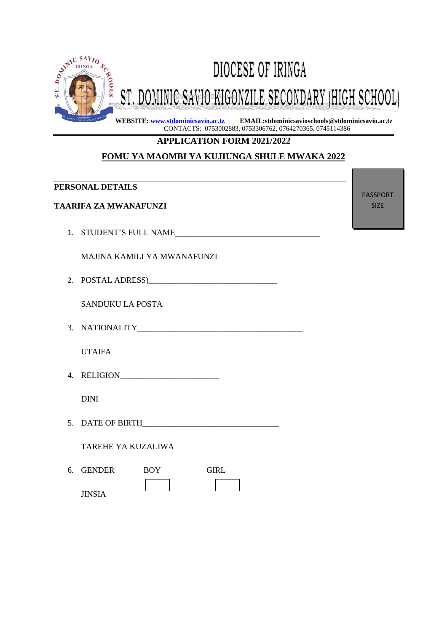

### **APPLICATION FORM 2021/2022**

# **FOMU YA MAOMBI YA KUJIUNGA SHULE MWAKA 2022**

# **PERSONAL DETAILS**

### **TAARIFA ZA MWANAFUNZI**

1. STUDENT'S FULL NAME

MAJINA KAMILI YA MWANAFUNZI

2. POSTAL ADRESS)

SANDUKU LA POSTA

3. NATIONALITY\_\_\_\_\_\_\_\_\_\_\_\_\_\_\_\_\_\_\_\_\_\_\_\_\_\_\_\_\_\_\_\_\_\_\_\_\_\_\_\_

UTAIFA

4. RELIGION\_\_\_\_\_\_\_\_\_\_\_\_\_\_\_\_\_\_\_\_\_\_\_\_

DINI

5. DATE OF BIRTH\_\_\_\_\_\_\_\_\_\_\_\_\_\_\_\_\_\_\_\_\_\_\_\_\_\_\_\_\_\_\_\_\_

TAREHE YA KUZALIWA

| 6. GENDER     | <b>BOY</b> | GIRL |  |  |
|---------------|------------|------|--|--|
| <b>IINSIA</b> |            |      |  |  |
|               |            |      |  |  |

PASSPORT SIZE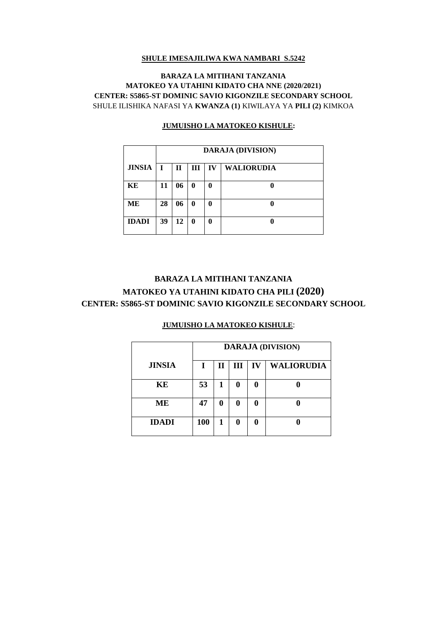#### **SHULE IMESAJILIWA KWA NAMBARI S.5242**

#### **BARAZA LA MITIHANI TANZANIA MATOKEO YA UTAHINI KIDATO CHA NNE (2020/2021) CENTER: S5865-ST DOMINIC SAVIO KIGONZILE SECONDARY SCHOOL** SHULE ILISHIKA NAFASI YA **KWANZA (1)** KIWILAYA YA **PILI (2)** KIMKOA

# **JINSIA DARAJA (DIVISION) I II III IV WALIORUDIA KE**  $\begin{array}{|c|c|c|c|c|} \hline 11 & 06 & 0 & 0 & 0 \\ \hline \end{array}$ **ME 28 06 0 0 0 IDADI 39 12 0 0 0**

#### **JUMUISHO LA MATOKEO KISHULE:**

# **BARAZA LA MITIHANI TANZANIA MATOKEO YA UTAHINI KIDATO CHA PILI (2020) CENTER: S5865-ST DOMINIC SAVIO KIGONZILE SECONDARY SCHOOL**

|               | <b>DARAJA (DIVISION)</b> |             |                |    |                   |
|---------------|--------------------------|-------------|----------------|----|-------------------|
| <b>JINSIA</b> | I                        | $\mathbf H$ | $\mathbf{III}$ | IV | <b>WALIORUDIA</b> |
| KE            | 53                       |             | 0              | 0  |                   |
| <b>ME</b>     | 47                       | 0           | 0              | 0  |                   |
| <b>IDADI</b>  | 100                      | 1           | 0              | 0  |                   |

#### **JUMUISHO LA MATOKEO KISHULE**: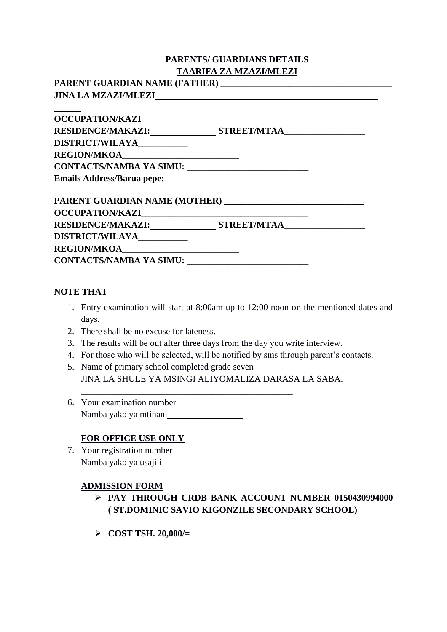### **PARENTS/ GUARDIANS DETAILS TAARIFA ZA MZAZI/MLEZI**

**PARENT GUARDIAN NAME (FATHER) \_\_\_\_\_\_\_\_\_\_\_\_\_\_\_\_\_\_\_\_\_\_\_\_\_\_\_\_\_\_\_\_\_\_\_\_\_\_ JINA LA MZAZI/MLEZI**

| OCCUPATION/KAZI                |  |
|--------------------------------|--|
|                                |  |
| DISTRICT/WILAYA___________     |  |
|                                |  |
|                                |  |
|                                |  |
| OCCUPATION/KAZI                |  |
|                                |  |
| DISTRICT/WILAYA__________      |  |
| REGION/MKOA                    |  |
| <b>CONTACTS/NAMBA YA SIMU:</b> |  |

### **NOTE THAT**

- 1. Entry examination will start at 8:00am up to 12:00 noon on the mentioned dates and days.
- 2. There shall be no excuse for lateness.
- 3. The results will be out after three days from the day you write interview.
- 4. For those who will be selected, will be notified by sms through parent's contacts.
- 5. Name of primary school completed grade seven JINA LA SHULE YA MSINGI ALIYOMALIZA DARASA LA SABA.
- 6. Your examination number Namba yako ya mtihani

# **FOR OFFICE USE ONLY**

7. Your registration number Namba yako ya usajili\_\_\_\_\_\_\_\_\_\_\_\_\_\_\_\_\_\_\_\_\_\_\_\_\_\_\_\_\_\_\_

\_\_\_\_\_\_\_\_\_\_\_\_\_\_\_\_\_\_\_\_\_\_\_\_\_\_\_\_\_\_\_\_\_\_\_\_\_\_\_\_\_\_\_\_\_\_\_

# **ADMISSION FORM**

- ➢ **PAY THROUGH CRDB BANK ACCOUNT NUMBER 0150430994000 ( ST.DOMINIC SAVIO KIGONZILE SECONDARY SCHOOL)**
- ➢ **COST TSH. 20,000/=**